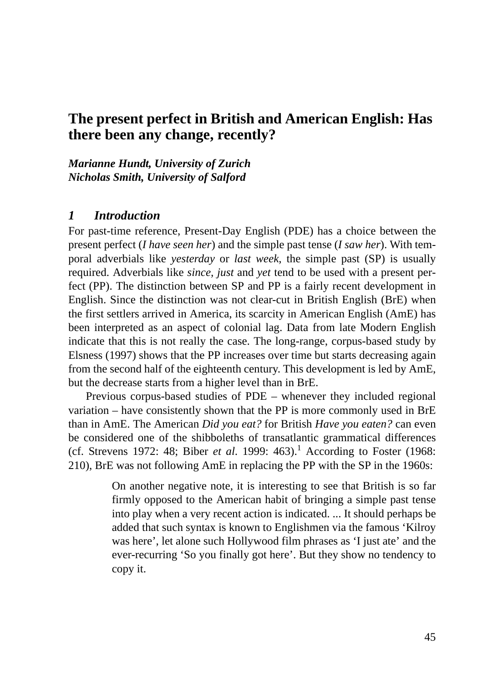## **The present perfect in British and American English: Has there been any change, recently?**

*Marianne Hundt, University of Zurich Nicholas Smith, University of Salford*

### *1 Introduction*

For past-time reference, Present-Day English (PDE) has a choice between the present perfect (*I have seen her*) and the simple past tense (*I saw her*). With temporal adverbials like *yesterday* or *last week*, the simple past (SP) is usually required. Adverbials like *since, just* and *yet* tend to be used with a present perfect (PP). The distinction between SP and PP is a fairly recent development in English. Since the distinction was not clear-cut in British English (BrE) when the first settlers arrived in America, its scarcity in American English (AmE) has been interpreted as an aspect of colonial lag. Data from late Modern English indicate that this is not really the case. The long-range, corpus-based study by Elsness (1997) shows that the PP increases over time but starts decreasing again from the second half of the eighteenth century. This development is led by AmE, but the decrease starts from a higher level than in BrE.

Previous corpus-based studies of PDE – whenever they included regional variation – have consistently shown that the PP is more commonly used in BrE than in AmE. The American *Did you eat?* for British *Have you eaten?* can even be considered one of the shibboleths of transatlantic grammatical differences (cf. Strevens 1972: 48; Biber *et al.* 1999: 463).<sup>1</sup> According to Foster (1968: 210), BrE was not following AmE in replacing the PP with the SP in the 1960s:

> On another negative note, it is interesting to see that British is so far firmly opposed to the American habit of bringing a simple past tense into play when a very recent action is indicated. ... It should perhaps be added that such syntax is known to Englishmen via the famous 'Kilroy was here', let alone such Hollywood film phrases as 'I just ate' and the ever-recurring 'So you finally got here'. But they show no tendency to copy it.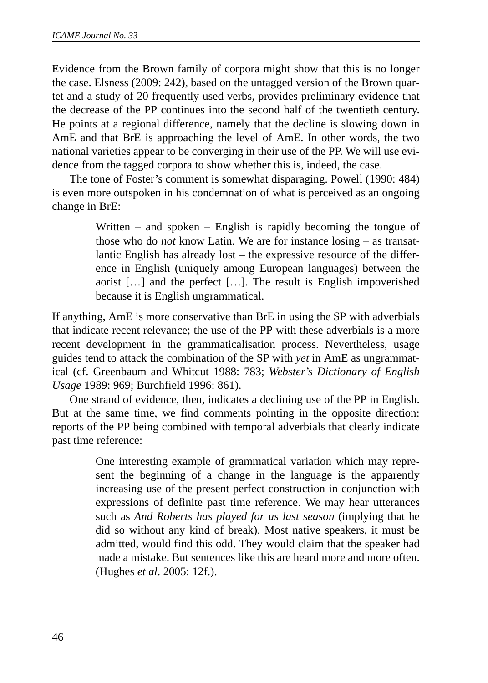Evidence from the Brown family of corpora might show that this is no longer the case. Elsness (2009: 242), based on the untagged version of the Brown quartet and a study of 20 frequently used verbs, provides preliminary evidence that the decrease of the PP continues into the second half of the twentieth century. He points at a regional difference, namely that the decline is slowing down in AmE and that BrE is approaching the level of AmE. In other words, the two national varieties appear to be converging in their use of the PP. We will use evidence from the tagged corpora to show whether this is, indeed, the case.

The tone of Foster's comment is somewhat disparaging. Powell (1990: 484) is even more outspoken in his condemnation of what is perceived as an ongoing change in BrE:

> Written – and spoken – English is rapidly becoming the tongue of those who do *not* know Latin. We are for instance losing – as transatlantic English has already lost – the expressive resource of the difference in English (uniquely among European languages) between the aorist […] and the perfect […]. The result is English impoverished because it is English ungrammatical.

If anything, AmE is more conservative than BrE in using the SP with adverbials that indicate recent relevance; the use of the PP with these adverbials is a more recent development in the grammaticalisation process. Nevertheless, usage guides tend to attack the combination of the SP with *yet* in AmE as ungrammatical (cf. Greenbaum and Whitcut 1988: 783; *Webster*'*s Dictionary of English Usage* 1989: 969; Burchfield 1996: 861).

One strand of evidence, then, indicates a declining use of the PP in English. But at the same time, we find comments pointing in the opposite direction: reports of the PP being combined with temporal adverbials that clearly indicate past time reference:

> One interesting example of grammatical variation which may represent the beginning of a change in the language is the apparently increasing use of the present perfect construction in conjunction with expressions of definite past time reference. We may hear utterances such as *And Roberts has played for us last season* (implying that he did so without any kind of break). Most native speakers, it must be admitted, would find this odd. They would claim that the speaker had made a mistake. But sentences like this are heard more and more often. (Hughes *et al*. 2005: 12f.).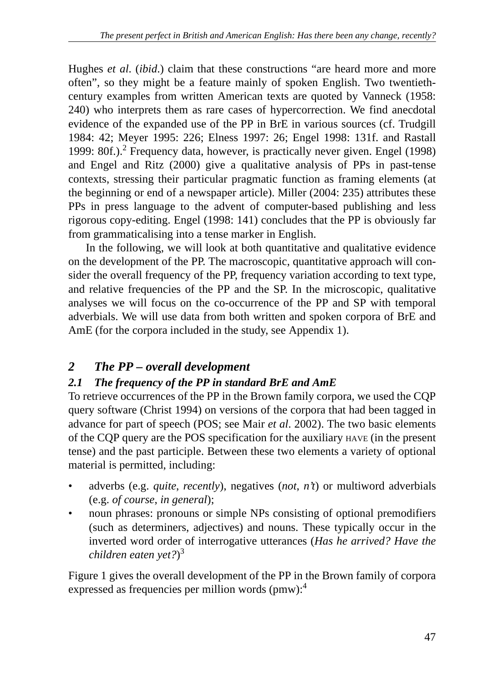Hughes *et al*. (*ibid*.) claim that these constructions "are heard more and more often", so they might be a feature mainly of spoken English. Two twentiethcentury examples from written American texts are quoted by Vanneck (1958: 240) who interprets them as rare cases of hypercorrection. We find anecdotal evidence of the expanded use of the PP in BrE in various sources (cf. Trudgill 1984: 42; Meyer 1995: 226; Elness 1997: 26; Engel 1998: 131f. and Rastall 1999: 80f.).<sup>2</sup> Frequency data, however, is practically never given. Engel (1998) and Engel and Ritz (2000) give a qualitative analysis of PPs in past-tense contexts, stressing their particular pragmatic function as framing elements (at the beginning or end of a newspaper article). Miller (2004: 235) attributes these PPs in press language to the advent of computer-based publishing and less rigorous copy-editing. Engel (1998: 141) concludes that the PP is obviously far from grammaticalising into a tense marker in English.

In the following, we will look at both quantitative and qualitative evidence on the development of the PP. The macroscopic, quantitative approach will consider the overall frequency of the PP, frequency variation according to text type, and relative frequencies of the PP and the SP. In the microscopic, qualitative analyses we will focus on the co-occurrence of the PP and SP with temporal adverbials. We will use data from both written and spoken corpora of BrE and AmE (for the corpora included in the study, see Appendix 1).

# *2 The PP – overall development*

# *2.1 The frequency of the PP in standard BrE and AmE*

To retrieve occurrences of the PP in the Brown family corpora, we used the CQP query software (Christ 1994) on versions of the corpora that had been tagged in advance for part of speech (POS; see Mair *et al*. 2002). The two basic elements of the CQP query are the POS specification for the auxiliary HAVE (in the present tense) and the past participle. Between these two elements a variety of optional material is permitted, including:

- adverbs (e.g. *quite*, *recently*), negatives (*not*, *n't*) or multiword adverbials (e.g. *of course*, *in general*);
- noun phrases: pronouns or simple NPs consisting of optional premodifiers (such as determiners, adjectives) and nouns. These typically occur in the inverted word order of interrogative utterances (*Has he arrived? Have the children eaten yet?*) 3

Figure 1 gives the overall development of the PP in the Brown family of corpora expressed as frequencies per million words ( $pmw$ ):<sup>4</sup>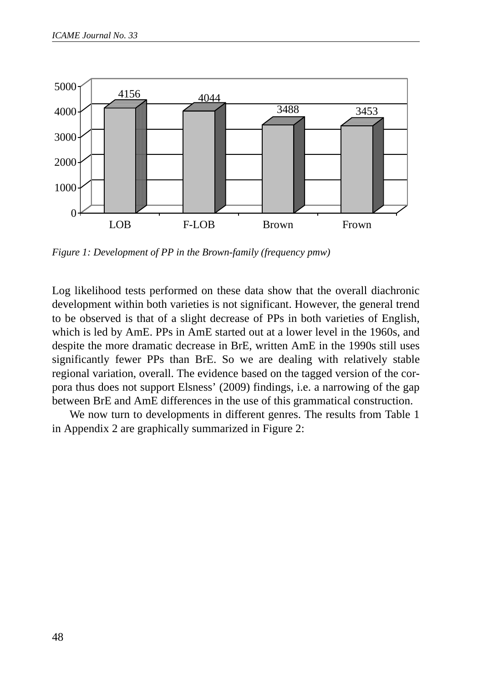

*Figure 1: Development of PP in the Brown-family (frequency pmw)*

Log likelihood tests performed on these data show that the overall diachronic development within both varieties is not significant. However, the general trend to be observed is that of a slight decrease of PPs in both varieties of English, which is led by AmE. PPs in AmE started out at a lower level in the 1960s, and despite the more dramatic decrease in BrE, written AmE in the 1990s still uses significantly fewer PPs than BrE. So we are dealing with relatively stable regional variation, overall. The evidence based on the tagged version of the corpora thus does not support Elsness' (2009) findings, i.e. a narrowing of the gap between BrE and AmE differences in the use of this grammatical construction.

We now turn to developments in different genres. The results from Table 1 in Appendix 2 are graphically summarized in Figure 2: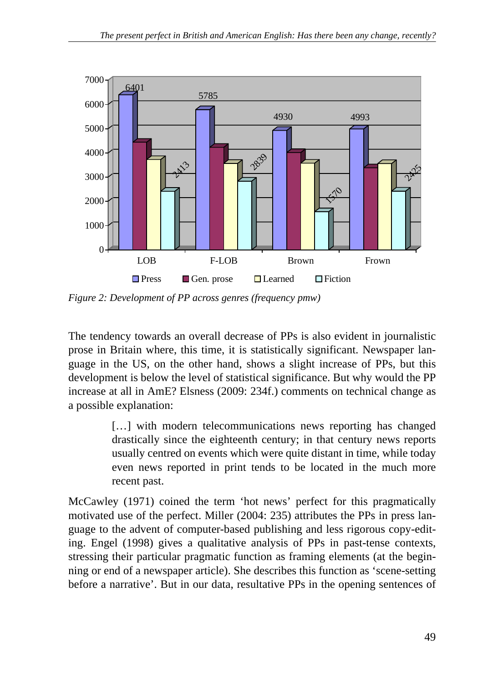

*Figure 2: Development of PP across genres (frequency pmw)*

The tendency towards an overall decrease of PPs is also evident in journalistic prose in Britain where, this time, it is statistically significant. Newspaper language in the US, on the other hand, shows a slight increase of PPs, but this development is below the level of statistical significance. But why would the PP increase at all in AmE? Elsness (2009: 234f.) comments on technical change as a possible explanation:

> [...] with modern telecommunications news reporting has changed drastically since the eighteenth century; in that century news reports usually centred on events which were quite distant in time, while today even news reported in print tends to be located in the much more recent past.

McCawley (1971) coined the term 'hot news' perfect for this pragmatically motivated use of the perfect. Miller (2004: 235) attributes the PPs in press language to the advent of computer-based publishing and less rigorous copy-editing. Engel (1998) gives a qualitative analysis of PPs in past-tense contexts, stressing their particular pragmatic function as framing elements (at the beginning or end of a newspaper article). She describes this function as 'scene-setting before a narrative'. But in our data, resultative PPs in the opening sentences of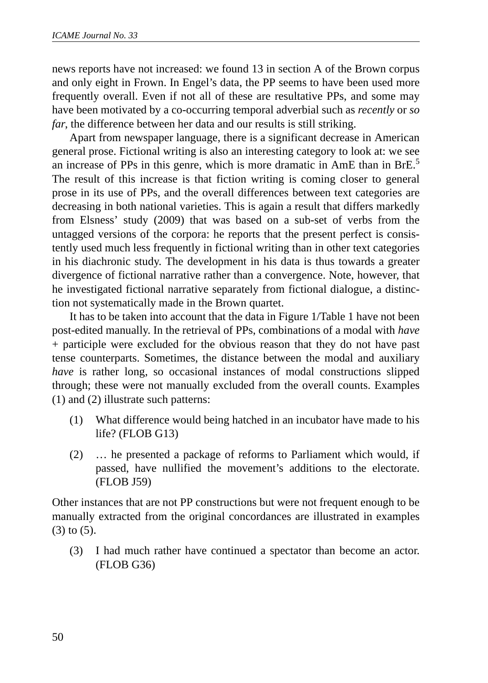news reports have not increased: we found 13 in section A of the Brown corpus and only eight in Frown. In Engel's data, the PP seems to have been used more frequently overall. Even if not all of these are resultative PPs, and some may have been motivated by a co-occurring temporal adverbial such as *recently* or *so far*, the difference between her data and our results is still striking.

Apart from newspaper language, there is a significant decrease in American general prose. Fictional writing is also an interesting category to look at: we see an increase of PPs in this genre, which is more dramatic in AmE than in BrE.<sup>5</sup> The result of this increase is that fiction writing is coming closer to general prose in its use of PPs, and the overall differences between text categories are decreasing in both national varieties. This is again a result that differs markedly from Elsness' study (2009) that was based on a sub-set of verbs from the untagged versions of the corpora: he reports that the present perfect is consistently used much less frequently in fictional writing than in other text categories in his diachronic study. The development in his data is thus towards a greater divergence of fictional narrative rather than a convergence. Note, however, that he investigated fictional narrative separately from fictional dialogue, a distinction not systematically made in the Brown quartet.

It has to be taken into account that the data in Figure 1/Table 1 have not been post-edited manually. In the retrieval of PPs, combinations of a modal with *have* + participle were excluded for the obvious reason that they do not have past tense counterparts. Sometimes, the distance between the modal and auxiliary *have* is rather long, so occasional instances of modal constructions slipped through; these were not manually excluded from the overall counts. Examples (1) and (2) illustrate such patterns:

- (1) What difference would being hatched in an incubator have made to his life? (FLOB G13)
- (2) … he presented a package of reforms to Parliament which would, if passed, have nullified the movement's additions to the electorate. (FLOB J59)

Other instances that are not PP constructions but were not frequent enough to be manually extracted from the original concordances are illustrated in examples (3) to (5).

(3) I had much rather have continued a spectator than become an actor. (FLOB G36)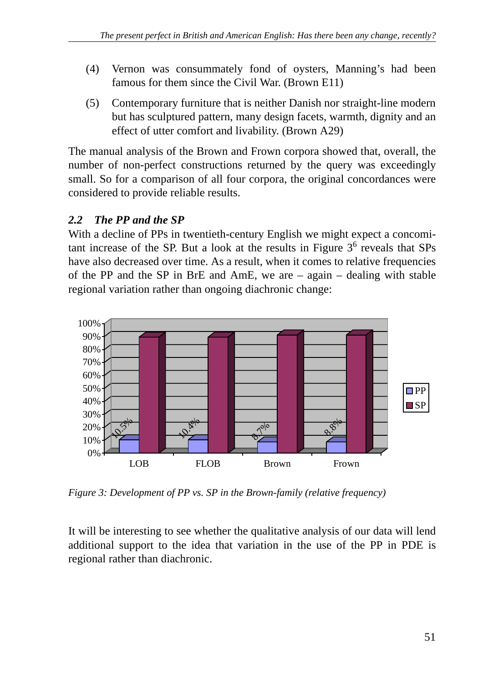- (4) Vernon was consummately fond of oysters, Manning's had been famous for them since the Civil War. (Brown E11)
- (5) Contemporary furniture that is neither Danish nor straight-line modern but has sculptured pattern, many design facets, warmth, dignity and an effect of utter comfort and livability. (Brown A29)

The manual analysis of the Brown and Frown corpora showed that, overall, the number of non-perfect constructions returned by the query was exceedingly small. So for a comparison of all four corpora, the original concordances were considered to provide reliable results.

## *2.2 The PP and the SP*

With a decline of PPs in twentieth-century English we might expect a concomitant increase of the SP. But a look at the results in Figure  $3<sup>6</sup>$  reveals that SPs have also decreased over time. As a result, when it comes to relative frequencies of the PP and the SP in BrE and AmE, we are – again – dealing with stable regional variation rather than ongoing diachronic change:



*Figure 3: Development of PP vs. SP in the Brown-family (relative frequency)*

It will be interesting to see whether the qualitative analysis of our data will lend additional support to the idea that variation in the use of the PP in PDE is regional rather than diachronic.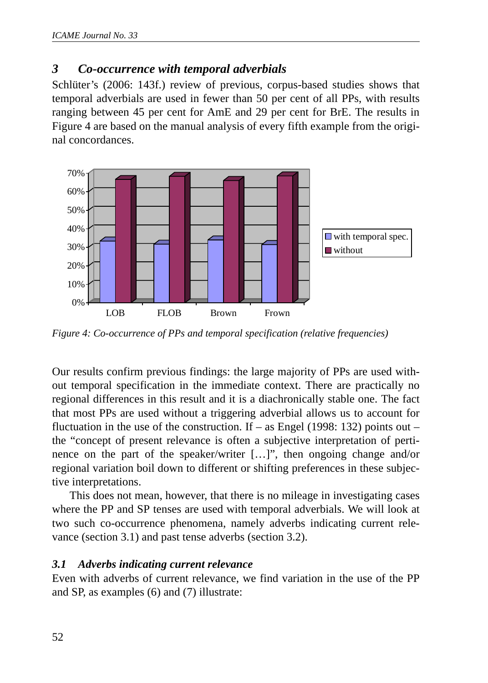### *3 Co-occurrence with temporal adverbials*

Schlüter's (2006: 143f.) review of previous, corpus-based studies shows that temporal adverbials are used in fewer than 50 per cent of all PPs, with results ranging between 45 per cent for AmE and 29 per cent for BrE. The results in Figure 4 are based on the manual analysis of every fifth example from the original concordances.



*Figure 4: Co-occurrence of PPs and temporal specification (relative frequencies)*

Our results confirm previous findings: the large majority of PPs are used without temporal specification in the immediate context. There are practically no regional differences in this result and it is a diachronically stable one. The fact that most PPs are used without a triggering adverbial allows us to account for fluctuation in the use of the construction. If – as Engel (1998: 132) points out – the "concept of present relevance is often a subjective interpretation of pertinence on the part of the speaker/writer […]", then ongoing change and/or regional variation boil down to different or shifting preferences in these subjective interpretations.

This does not mean, however, that there is no mileage in investigating cases where the PP and SP tenses are used with temporal adverbials. We will look at two such co-occurrence phenomena, namely adverbs indicating current relevance (section 3.1) and past tense adverbs (section 3.2).

### *3.1 Adverbs indicating current relevance*

Even with adverbs of current relevance, we find variation in the use of the PP and SP, as examples (6) and (7) illustrate: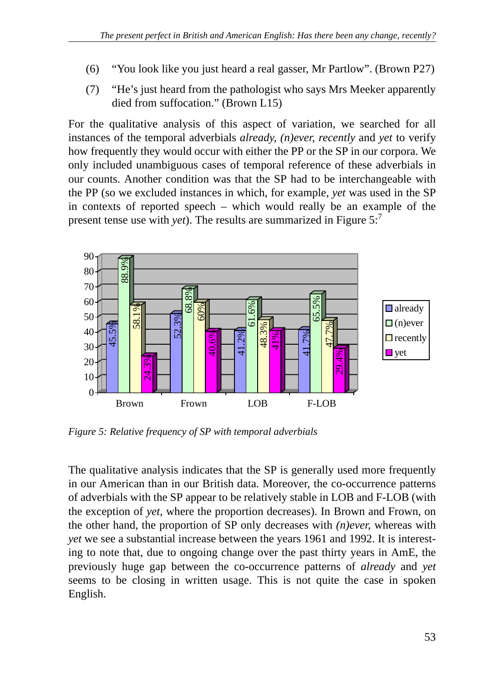- (6) "You look like you just heard a real gasser, Mr Partlow". (Brown P27)
- (7) "He's just heard from the pathologist who says Mrs Meeker apparently died from suffocation." (Brown L15)

For the qualitative analysis of this aspect of variation, we searched for all instances of the temporal adverbials *already, (n)ever, recently* and *yet* to verify how frequently they would occur with either the PP or the SP in our corpora. We only included unambiguous cases of temporal reference of these adverbials in our counts. Another condition was that the SP had to be interchangeable with the PP (so we excluded instances in which, for example, *yet* was used in the SP in contexts of reported speech – which would really be an example of the present tense use with *yet*). The results are summarized in Figure 5:<sup>7</sup>



*Figure 5: Relative frequency of SP with temporal adverbials*

The qualitative analysis indicates that the SP is generally used more frequently in our American than in our British data. Moreover, the co-occurrence patterns of adverbials with the SP appear to be relatively stable in LOB and F-LOB (with the exception of *yet*, where the proportion decreases). In Brown and Frown, on the other hand, the proportion of SP only decreases with *(n)ever,* whereas with *yet* we see a substantial increase between the years 1961 and 1992. It is interesting to note that, due to ongoing change over the past thirty years in AmE, the previously huge gap between the co-occurrence patterns of *already* and *yet* seems to be closing in written usage. This is not quite the case in spoken English.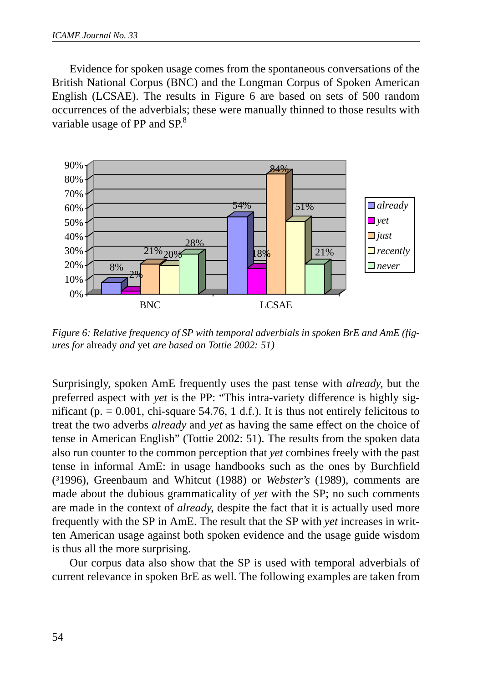Evidence for spoken usage comes from the spontaneous conversations of the British National Corpus (BNC) and the Longman Corpus of Spoken American English (LCSAE). The results in Figure 6 are based on sets of 500 random occurrences of the adverbials; these were manually thinned to those results with variable usage of PP and  $SP<sup>8</sup>$ 



*Figure 6: Relative frequency of SP with temporal adverbials in spoken BrE and AmE (figures for* already *and* yet *are based on Tottie 2002: 51)*

Surprisingly, spoken AmE frequently uses the past tense with *already*, but the preferred aspect with *yet* is the PP: "This intra-variety difference is highly significant (p.  $= 0.001$ , chi-square 54.76, 1 d.f.). It is thus not entirely felicitous to treat the two adverbs *already* and *yet* as having the same effect on the choice of tense in American English" (Tottie 2002: 51). The results from the spoken data also run counter to the common perception that *yet* combines freely with the past tense in informal AmE: in usage handbooks such as the ones by Burchfield (³1996), Greenbaum and Whitcut (1988) or *Webster*'*s* (1989), comments are made about the dubious grammaticality of *yet* with the SP; no such comments are made in the context of *already*, despite the fact that it is actually used more frequently with the SP in AmE. The result that the SP with *yet* increases in written American usage against both spoken evidence and the usage guide wisdom is thus all the more surprising.

Our corpus data also show that the SP is used with temporal adverbials of current relevance in spoken BrE as well. The following examples are taken from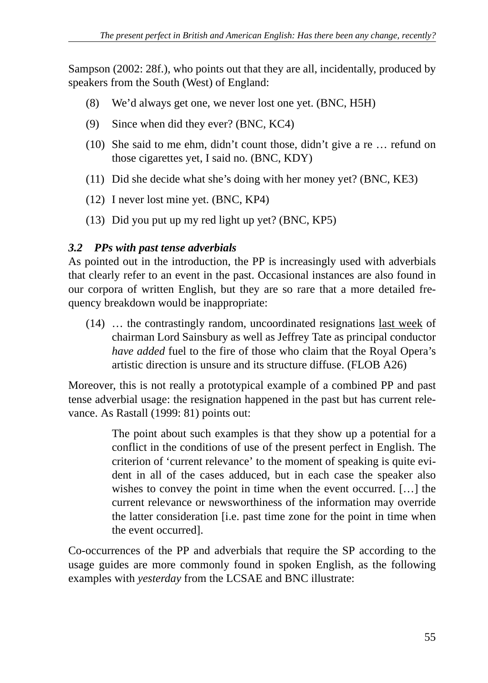Sampson (2002: 28f.), who points out that they are all, incidentally, produced by speakers from the South (West) of England:

- (8) We'd always get one, we never lost one yet. (BNC, H5H)
- (9) Since when did they ever? (BNC, KC4)
- (10) She said to me ehm, didn't count those, didn't give a re … refund on those cigarettes yet, I said no. (BNC, KDY)
- (11) Did she decide what she's doing with her money yet? (BNC, KE3)
- (12) I never lost mine yet. (BNC, KP4)
- (13) Did you put up my red light up yet? (BNC, KP5)

### *3.2 PPs with past tense adverbials*

As pointed out in the introduction, the PP is increasingly used with adverbials that clearly refer to an event in the past. Occasional instances are also found in our corpora of written English, but they are so rare that a more detailed frequency breakdown would be inappropriate:

(14) … the contrastingly random, uncoordinated resignations last week of chairman Lord Sainsbury as well as Jeffrey Tate as principal conductor *have added* fuel to the fire of those who claim that the Royal Opera's artistic direction is unsure and its structure diffuse. (FLOB A26)

Moreover, this is not really a prototypical example of a combined PP and past tense adverbial usage: the resignation happened in the past but has current relevance. As Rastall (1999: 81) points out:

> The point about such examples is that they show up a potential for a conflict in the conditions of use of the present perfect in English. The criterion of 'current relevance' to the moment of speaking is quite evident in all of the cases adduced, but in each case the speaker also wishes to convey the point in time when the event occurred. […] the current relevance or newsworthiness of the information may override the latter consideration [i.e. past time zone for the point in time when the event occurred].

Co-occurrences of the PP and adverbials that require the SP according to the usage guides are more commonly found in spoken English, as the following examples with *yesterday* from the LCSAE and BNC illustrate: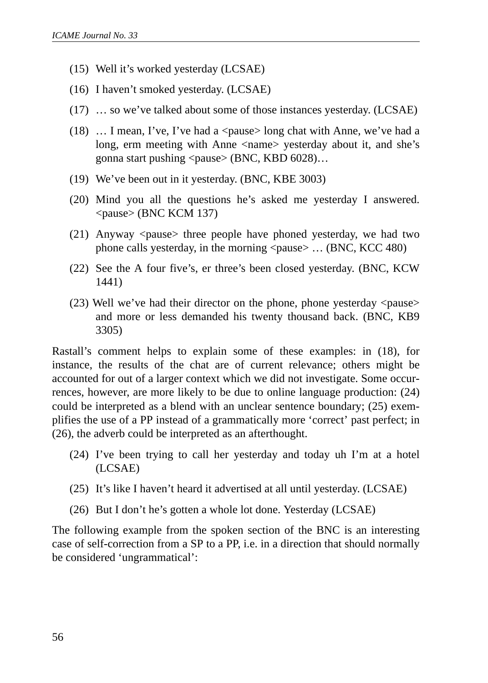- (15) Well it's worked yesterday (LCSAE)
- (16) I haven't smoked yesterday. (LCSAE)
- (17) … so we've talked about some of those instances yesterday. (LCSAE)
- (18)  $\ldots$  I mean, I've, I've had a  $\langle$  pause $\rangle$  long chat with Anne, we've had a long, erm meeting with Anne <name> yesterday about it, and she's gonna start pushing  $\langle$  pause $\rangle$  (BNC, KBD 6028)…
- (19) We've been out in it yesterday. (BNC, KBE 3003)
- (20) Mind you all the questions he's asked me yesterday I answered. <pause> (BNC KCM 137)
- (21) Anyway <pause> three people have phoned yesterday, we had two phone calls yesterday, in the morning  $\langle$  pause $\rangle$  ... (BNC, KCC 480)
- (22) See the A four five's, er three's been closed yesterday. (BNC, KCW 1441)
- $(23)$  Well we've had their director on the phone, phone yesterday  $\langle$  pause $\rangle$ and more or less demanded his twenty thousand back. (BNC, KB9 3305)

Rastall's comment helps to explain some of these examples: in (18), for instance, the results of the chat are of current relevance; others might be accounted for out of a larger context which we did not investigate. Some occurrences, however, are more likely to be due to online language production: (24) could be interpreted as a blend with an unclear sentence boundary; (25) exemplifies the use of a PP instead of a grammatically more 'correct' past perfect; in (26), the adverb could be interpreted as an afterthought.

- (24) I've been trying to call her yesterday and today uh I'm at a hotel (LCSAE)
- (25) It's like I haven't heard it advertised at all until yesterday. (LCSAE)
- (26) But I don't he's gotten a whole lot done. Yesterday (LCSAE)

The following example from the spoken section of the BNC is an interesting case of self-correction from a SP to a PP, i.e. in a direction that should normally be considered 'ungrammatical':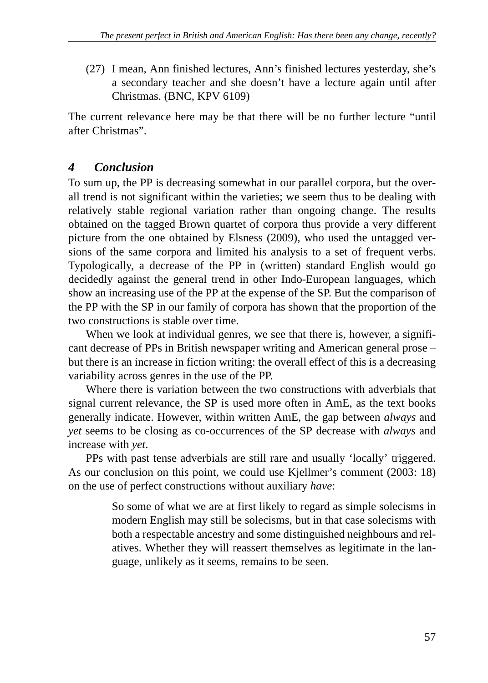(27) I mean, Ann finished lectures, Ann's finished lectures yesterday, she's a secondary teacher and she doesn't have a lecture again until after Christmas. (BNC, KPV 6109)

The current relevance here may be that there will be no further lecture "until after Christmas".

## *4 Conclusion*

To sum up, the PP is decreasing somewhat in our parallel corpora, but the overall trend is not significant within the varieties; we seem thus to be dealing with relatively stable regional variation rather than ongoing change. The results obtained on the tagged Brown quartet of corpora thus provide a very different picture from the one obtained by Elsness (2009), who used the untagged versions of the same corpora and limited his analysis to a set of frequent verbs. Typologically, a decrease of the PP in (written) standard English would go decidedly against the general trend in other Indo-European languages, which show an increasing use of the PP at the expense of the SP. But the comparison of the PP with the SP in our family of corpora has shown that the proportion of the two constructions is stable over time.

When we look at individual genres, we see that there is, however, a significant decrease of PPs in British newspaper writing and American general prose – but there is an increase in fiction writing: the overall effect of this is a decreasing variability across genres in the use of the PP.

Where there is variation between the two constructions with adverbials that signal current relevance, the SP is used more often in AmE, as the text books generally indicate. However, within written AmE, the gap between *always* and *yet* seems to be closing as co-occurrences of the SP decrease with *always* and increase with *yet*.

PPs with past tense adverbials are still rare and usually 'locally' triggered. As our conclusion on this point, we could use Kjellmer's comment (2003: 18) on the use of perfect constructions without auxiliary *have*:

> So some of what we are at first likely to regard as simple solecisms in modern English may still be solecisms, but in that case solecisms with both a respectable ancestry and some distinguished neighbours and relatives. Whether they will reassert themselves as legitimate in the language, unlikely as it seems, remains to be seen.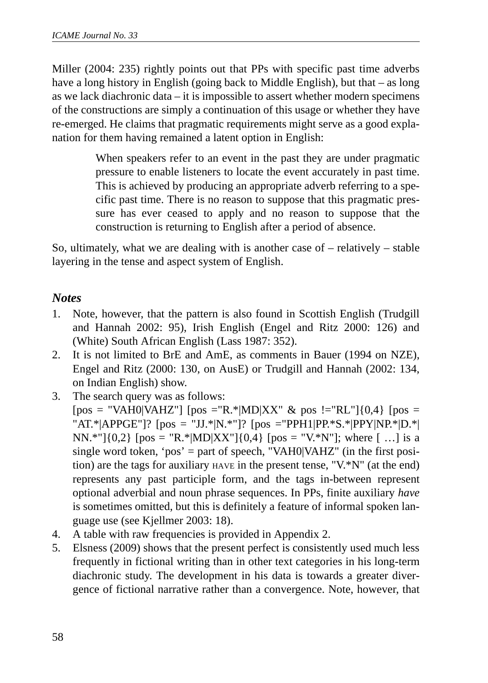Miller (2004: 235) rightly points out that PPs with specific past time adverbs have a long history in English (going back to Middle English), but that – as long as we lack diachronic data – it is impossible to assert whether modern specimens of the constructions are simply a continuation of this usage or whether they have re-emerged. He claims that pragmatic requirements might serve as a good explanation for them having remained a latent option in English:

> When speakers refer to an event in the past they are under pragmatic pressure to enable listeners to locate the event accurately in past time. This is achieved by producing an appropriate adverb referring to a specific past time. There is no reason to suppose that this pragmatic pressure has ever ceased to apply and no reason to suppose that the construction is returning to English after a period of absence.

So, ultimately, what we are dealing with is another case of – relatively – stable layering in the tense and aspect system of English.

### *Notes*

- 1. Note, however, that the pattern is also found in Scottish English (Trudgill and Hannah 2002: 95), Irish English (Engel and Ritz 2000: 126) and (White) South African English (Lass 1987: 352).
- 2. It is not limited to BrE and AmE, as comments in Bauer (1994 on NZE), Engel and Ritz (2000: 130, on AusE) or Trudgill and Hannah (2002: 134, on Indian English) show.
- 3. The search query was as follows:

 $[pos = "VAH0|VAHZ"]$   $[pos = "R.*|MD|XX" \& pos := "RL"]$   $[0,4]$   $[pos =$ "AT.\*|APPGE"]?  $[pos = "JJ.*|N.*"]$ ?  $[pos = "PPH1|PP.*S.*|PPY|NP.*|D.*]$ NN.\*"] $\{0,2\}$  [pos = "R.\*|MD|XX"] $\{0,4\}$  [pos = "V.\*N"]; where [...] is a single word token, 'pos' = part of speech, "VAH0|VAHZ" (in the first position) are the tags for auxiliary HAVE in the present tense, "V.\*N" (at the end) represents any past participle form, and the tags in-between represent optional adverbial and noun phrase sequences. In PPs, finite auxiliary *have* is sometimes omitted, but this is definitely a feature of informal spoken language use (see Kjellmer 2003: 18).

- 4. A table with raw frequencies is provided in Appendix 2.
- 5. Elsness (2009) shows that the present perfect is consistently used much less frequently in fictional writing than in other text categories in his long-term diachronic study. The development in his data is towards a greater divergence of fictional narrative rather than a convergence. Note, however, that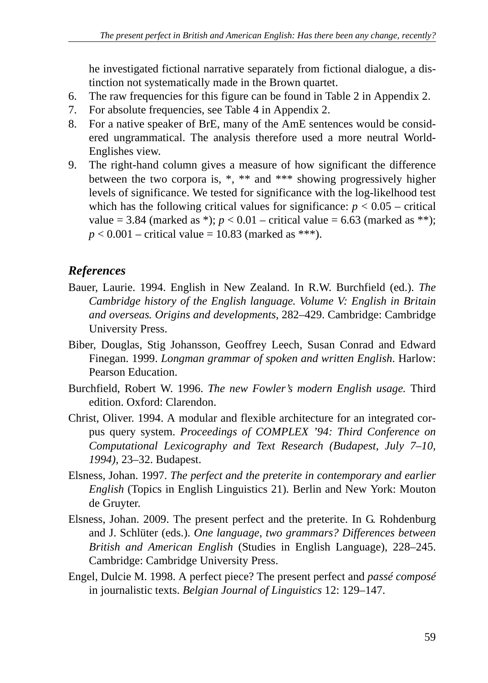he investigated fictional narrative separately from fictional dialogue, a distinction not systematically made in the Brown quartet.

- 6. The raw frequencies for this figure can be found in Table 2 in Appendix 2.
- 7. For absolute frequencies, see Table 4 in Appendix 2.
- 8. For a native speaker of BrE, many of the AmE sentences would be considered ungrammatical. The analysis therefore used a more neutral World-Englishes view.
- 9. The right-hand column gives a measure of how significant the difference between the two corpora is, \*, \*\* and \*\*\* showing progressively higher levels of significance. We tested for significance with the log-likelhood test which has the following critical values for significance:  $p < 0.05$  – critical value = 3.84 (marked as \*);  $p < 0.01$  – critical value = 6.63 (marked as \*\*);  $p < 0.001$  – critical value = 10.83 (marked as \*\*\*).

## *References*

- Bauer, Laurie. 1994. English in New Zealand. In R.W. Burchfield (ed.). *The Cambridge history of the English language. Volume V: English in Britain and overseas. Origins and developments,* 282–429. Cambridge: Cambridge University Press.
- Biber, Douglas, Stig Johansson, Geoffrey Leech, Susan Conrad and Edward Finegan. 1999. *Longman grammar of spoken and written English*. Harlow: Pearson Education.
- Burchfield, Robert W. 1996. *The new Fowler's modern English usage.* Third edition. Oxford: Clarendon.
- Christ, Oliver. 1994. A modular and flexible architecture for an integrated corpus query system. *Proceedings of COMPLEX '94: Third Conference on Computational Lexicography and Text Research (Budapest, July 7–10, 1994)*, 23–32. Budapest.
- Elsness, Johan. 1997. *The perfect and the preterite in contemporary and earlier English* (Topics in English Linguistics 21)*.* Berlin and New York: Mouton de Gruyter.
- Elsness, Johan. 2009. The present perfect and the preterite. In G. Rohdenburg and J. Schlüter (eds.). *One language, two grammars? Differences between British and American English* (Studies in English Language), 228–245. Cambridge: Cambridge University Press.
- Engel, Dulcie M. 1998. A perfect piece? The present perfect and *passé composé* in journalistic texts. *Belgian Journal of Linguistics* 12: 129–147.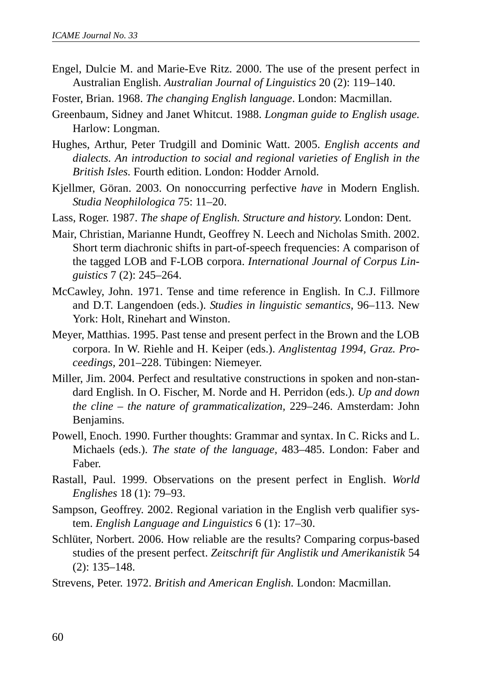- Engel, Dulcie M. and Marie-Eve Ritz. 2000. The use of the present perfect in Australian English. *Australian Journal of Linguistics* 20 (2): 119–140.
- Foster, Brian. 1968. *The changing English language*. London: Macmillan.
- Greenbaum, Sidney and Janet Whitcut. 1988. *Longman guide to English usage.* Harlow: Longman.
- Hughes, Arthur, Peter Trudgill and Dominic Watt. 2005. *English accents and dialects. An introduction to social and regional varieties of English in the British Isles.* Fourth edition. London: Hodder Arnold.
- Kjellmer, Göran. 2003. On nonoccurring perfective *have* in Modern English. *Studia Neophilologica* 75: 11–20.
- Lass, Roger. 1987. *The shape of English. Structure and history*. London: Dent.
- Mair, Christian, Marianne Hundt, Geoffrey N. Leech and Nicholas Smith. 2002. Short term diachronic shifts in part-of-speech frequencies: A comparison of the tagged LOB and F-LOB corpora. *International Journal of Corpus Linguistics* 7 (2): 245–264.
- McCawley, John. 1971. Tense and time reference in English. In C.J. Fillmore and D.T. Langendoen (eds.). *Studies in linguistic semantics,* 96–113. New York: Holt, Rinehart and Winston.
- Meyer, Matthias. 1995. Past tense and present perfect in the Brown and the LOB corpora. In W. Riehle and H. Keiper (eds.). *Anglistentag 1994, Graz. Proceedings,* 201–228. Tübingen: Niemeyer.
- Miller, Jim. 2004. Perfect and resultative constructions in spoken and non-standard English. In O. Fischer, M. Norde and H. Perridon (eds.). *Up and down the cline – the nature of grammaticalization,* 229–246. Amsterdam: John Benjamins.
- Powell, Enoch. 1990. Further thoughts: Grammar and syntax. In C. Ricks and L. Michaels (eds.). *The state of the language,* 483–485. London: Faber and Faber.
- Rastall, Paul. 1999. Observations on the present perfect in English. *World Englishes* 18 (1): 79–93.
- Sampson, Geoffrey. 2002. Regional variation in the English verb qualifier system. *English Language and Linguistics* 6 (1): 17–30.
- Schlüter, Norbert. 2006. How reliable are the results? Comparing corpus-based studies of the present perfect. *Zeitschrift für Anglistik und Amerikanistik* 54 (2): 135–148.
- Strevens, Peter. 1972. *British and American English.* London: Macmillan.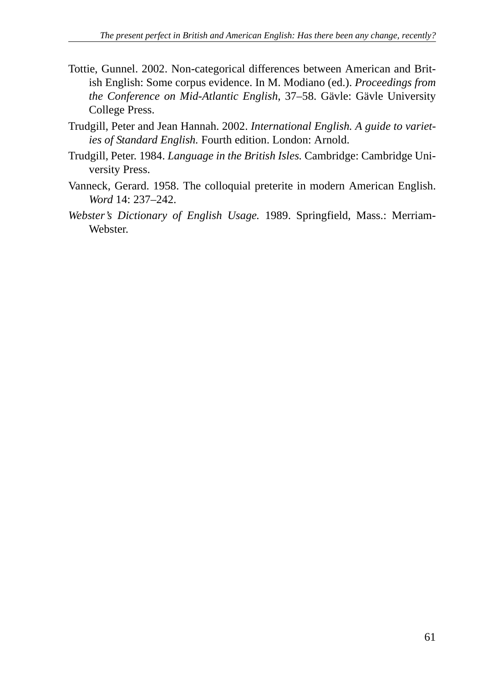- Tottie, Gunnel. 2002. Non-categorical differences between American and British English: Some corpus evidence. In M. Modiano (ed.). *Proceedings from the Conference on Mid-Atlantic English*, 37–58. Gävle: Gävle University College Press.
- Trudgill, Peter and Jean Hannah. 2002. *International English. A guide to varieties of Standard English.* Fourth edition. London: Arnold.
- Trudgill, Peter. 1984. *Language in the British Isles.* Cambridge: Cambridge University Press.
- Vanneck, Gerard. 1958. The colloquial preterite in modern American English. *Word* 14: 237–242.
- *Webster's Dictionary of English Usage.* 1989. Springfield, Mass.: Merriam-Webster.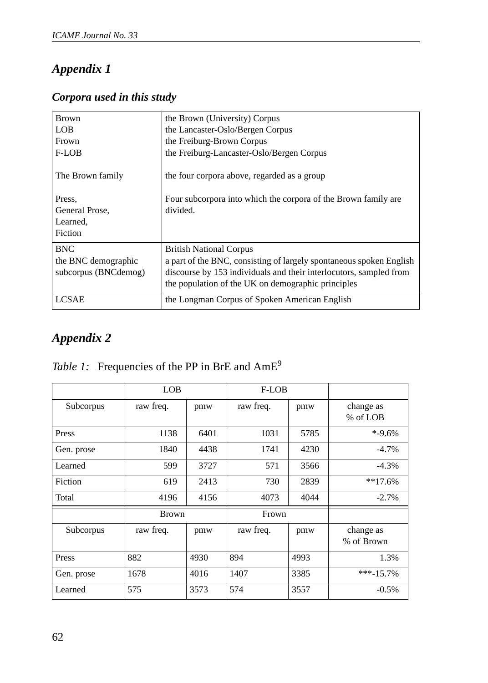# *Appendix 1*

### *Corpora used in this study*

| <b>Brown</b>         | the Brown (University) Corpus                                       |  |  |
|----------------------|---------------------------------------------------------------------|--|--|
| <b>LOB</b>           | the Lancaster-Oslo/Bergen Corpus                                    |  |  |
| Frown                | the Freiburg-Brown Corpus                                           |  |  |
| F-LOB                | the Freiburg-Lancaster-Oslo/Bergen Corpus                           |  |  |
| The Brown family     | the four corpora above, regarded as a group                         |  |  |
| Press,               | Four subcorpora into which the corpora of the Brown family are      |  |  |
| General Prose,       | divided.                                                            |  |  |
| Learned,             |                                                                     |  |  |
| Fiction              |                                                                     |  |  |
| <b>BNC</b>           | <b>British National Corpus</b>                                      |  |  |
| the BNC demographic  | a part of the BNC, consisting of largely spontaneous spoken English |  |  |
| subcorpus (BNCdemog) | discourse by 153 individuals and their interlocutors, sampled from  |  |  |
|                      | the population of the UK on demographic principles                  |  |  |
| <b>LCSAE</b>         | the Longman Corpus of Spoken American English                       |  |  |

## *Appendix 2*

|            | <b>LOB</b>   |      | F-LOB     |      |                         |
|------------|--------------|------|-----------|------|-------------------------|
| Subcorpus  | raw freq.    | pmw  | raw freq. | pmw  | change as<br>% of LOB   |
| Press      | 1138         | 6401 | 1031      | 5785 | $* -9.6%$               |
| Gen. prose | 1840         | 4438 | 1741      | 4230 | $-4.7%$                 |
| Learned    | 599          | 3727 | 571       | 3566 | $-4.3%$                 |
| Fiction    | 619          | 2413 | 730       | 2839 | $**17.6%$               |
| Total      | 4196         | 4156 | 4073      | 4044 | $-2.7%$                 |
|            | <b>Brown</b> |      | Frown     |      |                         |
| Subcorpus  | raw freq.    | pmw  | raw freq. | pmw  | change as<br>% of Brown |
| Press      | 882          | 4930 | 894       | 4993 | 1.3%                    |
| Gen. prose | 1678         | 4016 | 1407      | 3385 | $***-15.7%$             |
| Learned    | 575          | 3573 | 574       | 3557 | $-0.5%$                 |

### *Table 1:* Frequencies of the PP in BrE and AmE<sup>9</sup>